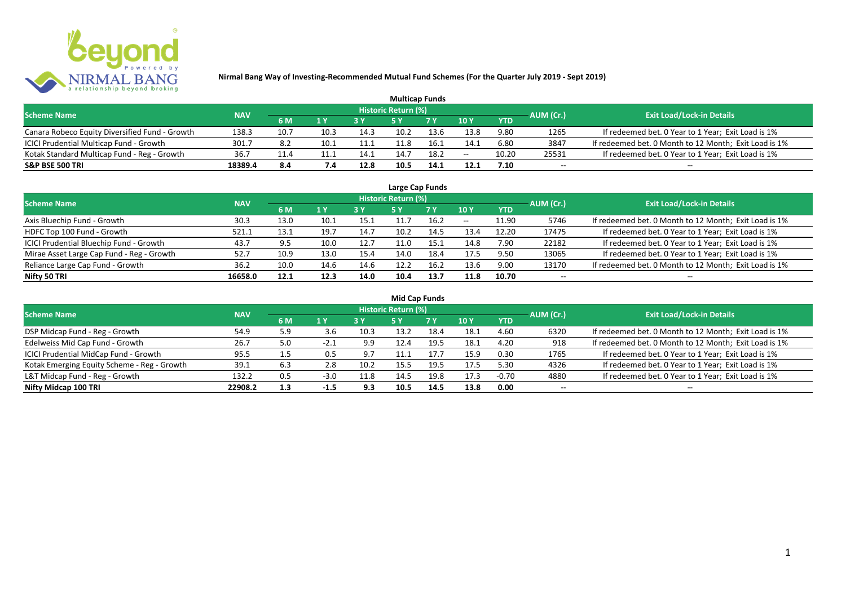

|                                                |            |      |      |      | <b>Multicap Funds</b> |      |       |            |           |                                                       |
|------------------------------------------------|------------|------|------|------|-----------------------|------|-------|------------|-----------|-------------------------------------------------------|
| <b>Scheme Name</b>                             | <b>NAV</b> |      |      |      | Historic Return (%)   |      |       |            | AUM (Cr.) | <b>Exit Load/Lock-in Details</b>                      |
|                                                |            | 6 M  | 1 Y  |      |                       | 7Y   | 10Y   | <b>YTD</b> |           |                                                       |
| Canara Robeco Equity Diversified Fund - Growth | 138.3      | 10.7 | 10.3 | 14.3 | 10.2                  | 13.6 | 13.8  | 9.80       | 1265      | If redeemed bet. 0 Year to 1 Year; Exit Load is 1%    |
| ICICI Prudential Multicap Fund - Growth        | 301.7      | 8.2  | 10.1 | 11.1 |                       | 16.1 | 14.1  | 6.80       | 3847      | If redeemed bet. 0 Month to 12 Month; Exit Load is 1% |
| Kotak Standard Multicap Fund - Reg - Growth    | 36.7       | 11.4 | 11.1 | 14.1 |                       | 18.2 | $- -$ | 10.20      | 25531     | If redeemed bet. 0 Year to 1 Year; Exit Load is 1%    |
| <b>S&amp;P BSE 500 TRI</b>                     | 18389.4    | 8.4  | 7.4  | 12.8 | 10.5                  | 14.1 | 12.1  | 7.10       | $-$       | $- -$                                                 |

| Large Cap Funds                           |            |      |      |      |                            |      |            |            |           |                                                       |  |  |  |
|-------------------------------------------|------------|------|------|------|----------------------------|------|------------|------------|-----------|-------------------------------------------------------|--|--|--|
| <b>Scheme Name</b>                        | <b>NAV</b> |      |      |      | <b>Historic Return (%)</b> |      |            |            | AUM (Cr.) | <b>Exit Load/Lock-in Details</b>                      |  |  |  |
|                                           |            | 6 M  | 1 Y  |      | 5 Y                        | 7Y   | <b>10Y</b> | <b>YTD</b> |           |                                                       |  |  |  |
| Axis Bluechip Fund - Growth               | 30.3       | 13.0 | 10.1 | 15.1 | 11.7                       | 16.2 | $- -$      | 11.90      | 5746      | If redeemed bet. 0 Month to 12 Month; Exit Load is 1% |  |  |  |
| HDFC Top 100 Fund - Growth                | 521.1      | 13.1 | 19.7 | 14.7 | 10.2                       | 14.5 | 13.4       | 12.20      | 17475     | If redeemed bet. 0 Year to 1 Year; Exit Load is 1%    |  |  |  |
| ICICI Prudential Bluechip Fund - Growth   | 43.7       | 9.5  | 10.0 | 12.7 | 11.0                       | 15.1 | 14.8       | 7.90       | 22182     | If redeemed bet. 0 Year to 1 Year; Exit Load is 1%    |  |  |  |
| Mirae Asset Large Cap Fund - Reg - Growth | 52.7       | 10.9 | 13.0 | 15.4 | 14.0                       | 18.4 | 17.5       | 9.50       | 13065     | If redeemed bet. 0 Year to 1 Year; Exit Load is 1%    |  |  |  |
| Reliance Large Cap Fund - Growth          | 36.2       | 10.0 | 14.6 | 14.6 | 12.2                       | 16.2 | 13.6       | 9.00       | 13170     | If redeemed bet. 0 Month to 12 Month; Exit Load is 1% |  |  |  |
| Nifty 50 TRI                              | 16658.0    | 12.1 | 12.3 | 14.0 | 10.4                       | 13.7 | 11.8       | 10.70      | $- -$     |                                                       |  |  |  |

| <b>Mid Cap Funds</b>                        |            |     |        |      |                            |      |      |            |                          |                                                       |  |  |  |  |
|---------------------------------------------|------------|-----|--------|------|----------------------------|------|------|------------|--------------------------|-------------------------------------------------------|--|--|--|--|
| <b>Scheme Name</b>                          | <b>NAV</b> |     |        |      | <b>Historic Return (%)</b> |      |      |            | AUM (Cr.)                | <b>Exit Load/Lock-in Details</b>                      |  |  |  |  |
|                                             |            | 6 M | 1 Y    |      | 5 Y                        | 7 Y  | 10Y  | <b>YTD</b> |                          |                                                       |  |  |  |  |
| DSP Midcap Fund - Reg - Growth              | 54.9       | 5.9 | 3.b    | 10.3 | 13.2                       | 18.4 | 18.1 | 4.60       | 6320                     | If redeemed bet. 0 Month to 12 Month; Exit Load is 1% |  |  |  |  |
| Edelweiss Mid Cap Fund - Growth             | 26.7       | 5.0 | $-2.1$ | 9.9  | 12.4                       | 19.5 | 18.1 | 4.20       | 918                      | If redeemed bet. 0 Month to 12 Month; Exit Load is 1% |  |  |  |  |
| ICICI Prudential MidCap Fund - Growth       | 95.5       |     | ს.5    | 9.7  | .1.1                       | 17.7 | 15.9 | 0.30       | 1765                     | If redeemed bet. 0 Year to 1 Year; Exit Load is 1%    |  |  |  |  |
| Kotak Emerging Equity Scheme - Reg - Growth | 39.1       | 6.3 | 2.8    | 10.2 | 15.5                       | 19.5 | 17.5 | 5.30       | 4326                     | If redeemed bet. 0 Year to 1 Year; Exit Load is 1%    |  |  |  |  |
| L&T Midcap Fund - Reg - Growth              | 132.2      | 0.5 | $-3.0$ | 11.8 | 14.5                       | 19.8 | 17.3 | $-0.70$    | 4880                     | If redeemed bet. 0 Year to 1 Year; Exit Load is 1%    |  |  |  |  |
| Nifty Midcap 100 TRI                        | 22908.2    | 1.3 | $-1.5$ | 9.3  | 10.5                       | 14.5 | 13.8 | 0.00       | $\overline{\phantom{a}}$ | $- -$                                                 |  |  |  |  |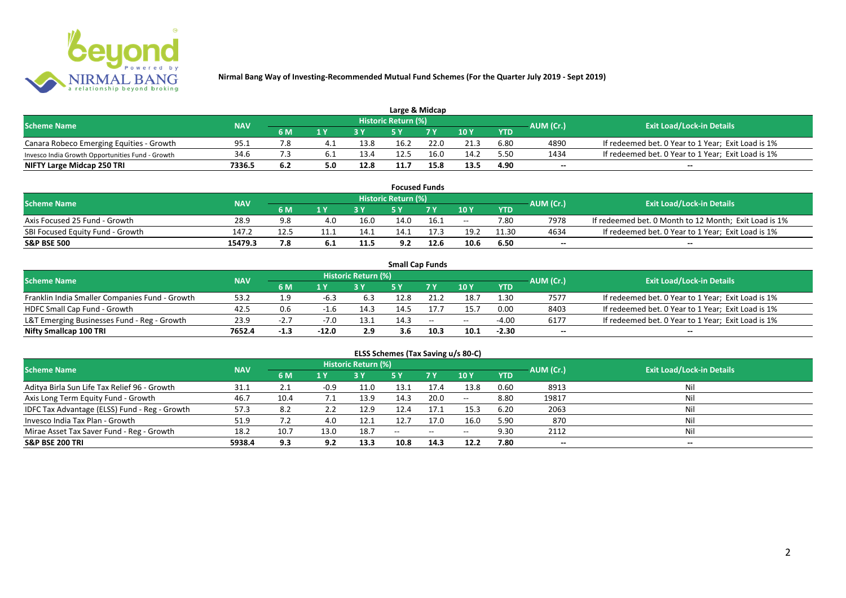

| Large & Midcap                                   |            |     |                         |      |                            |      |      |            |           |                                                    |  |  |  |
|--------------------------------------------------|------------|-----|-------------------------|------|----------------------------|------|------|------------|-----------|----------------------------------------------------|--|--|--|
| <b>Scheme Name</b>                               | <b>NAV</b> |     |                         |      | <b>Historic Return (%)</b> |      |      |            | AUM (Cr.) | <b>Exit Load/Lock-in Details</b>                   |  |  |  |
|                                                  |            | 6 M | $\mathbf{A} \mathbf{V}$ |      |                            | 7 V  | 10Y  | <b>YTD</b> |           |                                                    |  |  |  |
| Canara Robeco Emerging Equities - Growth         | 95.1       |     |                         | 13.8 | 16.2                       | 22.0 | 21.3 | 6.80       | 4890      | If redeemed bet. 0 Year to 1 Year; Exit Load is 1% |  |  |  |
| Invesco India Growth Opportunities Fund - Growth | 34.6       |     |                         | 13.4 | 12.5                       | 16.0 | 14.2 | 5.50       | 1434      | If redeemed bet. 0 Year to 1 Year; Exit Load is 1% |  |  |  |
| NIFTY Large Midcap 250 TRI                       | 7336.5     | 6.2 | 5.0                     | 12.8 | 11.7                       | 15.8 | 13.5 | 4.90       | $- -$     | $- -$                                              |  |  |  |

|                                  |            |     |      |      |                     | <b>Focused Funds</b> |       |            |           |                                                       |
|----------------------------------|------------|-----|------|------|---------------------|----------------------|-------|------------|-----------|-------------------------------------------------------|
| <b>Scheme Name</b>               | <b>NAV</b> |     |      |      | Historic Return (%) |                      |       |            | AUM (Cr.) | <b>Exit Load/Lock-in Details</b>                      |
|                                  |            | 6 M | 1 V  |      | cν                  | 7 V                  | 10 Y  | <b>YTD</b> |           |                                                       |
| Axis Focused 25 Fund - Growth    | 28.9       | 9.8 | 4.0  | 16.0 | 14.0                | 16.1                 | $- -$ | 7.80       | 7978      | If redeemed bet. 0 Month to 12 Month; Exit Load is 1% |
| SBI Focused Equity Fund - Growth | 147.2      | 12. | 11.1 | 14.1 | 14.1                |                      | 19.2  | 11.30      | 4634      | If redeemed bet. 0 Year to 1 Year; Exit Load is 1%    |
| <b>S&amp;P BSE 500</b>           | 15479.3    | 7.8 | b. L | 11.5 | 9.2                 | 12.6                 | 10.6  | 6.50       | $- -$     | $- -$                                                 |

|                                                |            |        |         |                     |      | <b>Small Cap Funds</b>                         |       |            |           |                                                    |
|------------------------------------------------|------------|--------|---------|---------------------|------|------------------------------------------------|-------|------------|-----------|----------------------------------------------------|
| <b>Scheme Name</b>                             | <b>NAV</b> |        |         | Historic Return (%) |      |                                                |       |            | AUM (Cr.) | <b>Exit Load/Lock-in Details</b>                   |
|                                                |            | 6 M    |         |                     |      |                                                | 10Y   | <b>YTD</b> |           |                                                    |
| Franklin India Smaller Companies Fund - Growth | 53.2       | 1.9    | -6.3    | 6.3                 | 12.8 | 21.2                                           | 18.7  | 1.30       | 7577      | If redeemed bet. 0 Year to 1 Year; Exit Load is 1% |
| HDFC Small Cap Fund - Growth                   | 42.5       | 0.6    |         | 14.3                | 14.5 |                                                | 15.7  | 0.00       | 8403      | If redeemed bet. 0 Year to 1 Year; Exit Load is 1% |
| L&T Emerging Businesses Fund - Reg - Growth    | 23.9       | -2.,   | -7.0    | 13.1                | 14.3 | $\hspace{0.1mm}-\hspace{0.1mm}-\hspace{0.1mm}$ | $- -$ | $-4.00$    | 6177      | If redeemed bet. 0 Year to 1 Year; Exit Load is 1% |
| Nifty Smallcap 100 TRI                         | 7652.4     | $-1.3$ | $-12.0$ | 2.9                 | 3.6  | 10.3                                           | 10.1  | $-2.30$    | $- -$     | --                                                 |

# **ELSS Schemes (Tax Saving u/s 80-C)**

| <b>Scheme Name</b>                            | <b>NAV</b> |      |                         | <b>Historic Return (%)</b> |            |            |               | AUM (Cr.)  | Exit Load/Lock-in Details |       |
|-----------------------------------------------|------------|------|-------------------------|----------------------------|------------|------------|---------------|------------|---------------------------|-------|
|                                               |            | 6 M  | $\mathbf{1} \mathbf{V}$ |                            | <b>5 Y</b> | <b>7 Y</b> | 10Y           | <b>YTD</b> |                           |       |
| Aditya Birla Sun Life Tax Relief 96 - Growth  | 31.1       | 2.1  | $-0.9$                  | 11.0                       | 13.1       | 17.4       | 13.8          | 0.60       | 8913                      | Nil   |
| Axis Long Term Equity Fund - Growth           | 46.7       | 10.4 |                         | 13.9                       | 14.3       | 20.0       | $\sim$ $\sim$ | 8.80       | 19817                     | Nil   |
| IDFC Tax Advantage (ELSS) Fund - Reg - Growth | 57.3       | 8.2  |                         | 12.9                       | 12.4       | 17.1       | 15.3          | 6.20       | 2063                      | Nil   |
| Invesco India Tax Plan - Growth               | 51.9       | 7.2  | 4.0                     | 12.1                       | 12.7       | 17.0       | 16.0          | 5.90       | 870                       | Nil   |
| Mirae Asset Tax Saver Fund - Reg - Growth     | 18.2       | 10.7 | 13.0                    | 18.7                       | $- -$      | $- -$      | $- -$         | 9.30       | 2112                      | Nil   |
| <b>S&amp;P BSE 200 TRI</b>                    | 5938.4     | 9.3  | 9.2                     | 13.3                       | 10.8       | 14.3       | 12.2          | 7.80       | $- -$                     | $- -$ |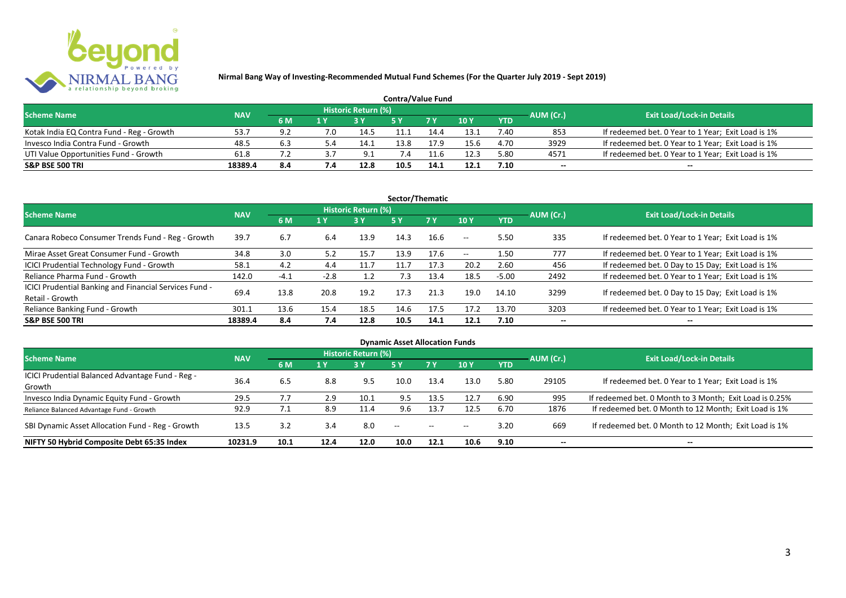

|                                           |            |     |         |                     | <b>Contra/Value Fund</b> |                |        |            |           |                                                    |
|-------------------------------------------|------------|-----|---------|---------------------|--------------------------|----------------|--------|------------|-----------|----------------------------------------------------|
| <b>Scheme Name</b>                        | <b>NAV</b> |     |         | Historic Return (%) |                          |                |        |            | AUM (Cr.) | <b>Exit Load/Lock-in Details</b>                   |
|                                           |            | 6 M |         |                     |                          | 7 <sub>Y</sub> | $-10Y$ | <b>YTD</b> |           |                                                    |
| Kotak India EQ Contra Fund - Reg - Growth | 53.7       | 9.2 | .O      | 14.5                |                          | 14.4           | 13.1   | 7.40       | 853       | If redeemed bet. 0 Year to 1 Year; Exit Load is 1% |
| Invesco India Contra Fund - Growth        | 48.5       | 6.3 | - 4. د. | 14.1                | 13.8                     |                | 15.6   | 4.70       | 3929      | If redeemed bet. 0 Year to 1 Year; Exit Load is 1% |
| UTI Value Opportunities Fund - Growth     | 61.8       |     |         | -9.1                | 7.4                      |                | 12.3   | 5.80       | 4571      | If redeemed bet. 0 Year to 1 Year; Exit Load is 1% |
| <b>S&amp;P BSE 500 TRI</b>                | 18389.4    | 8.4 |         | 12.8                | 10.5                     | 14.1           | 12.1   | 7.10       | $-$       | $- -$                                              |

| Sector/Thematic                                                           |            |        |        |                            |            |           |            |            |           |                                                    |  |  |  |
|---------------------------------------------------------------------------|------------|--------|--------|----------------------------|------------|-----------|------------|------------|-----------|----------------------------------------------------|--|--|--|
| <b>Scheme Name</b>                                                        | <b>NAV</b> |        |        | <b>Historic Return (%)</b> |            |           |            |            | AUM (Cr.) | <b>Exit Load/Lock-in Details</b>                   |  |  |  |
|                                                                           |            | 6 M    | 1 Y    | <b>3Y</b>                  | <b>5 Y</b> | <b>7Y</b> | 10Y        | <b>YTD</b> |           |                                                    |  |  |  |
| Canara Robeco Consumer Trends Fund - Reg - Growth                         | 39.7       | 6.7    | 6.4    | 13.9                       | 14.3       | 16.6      | $\sim$ $-$ | 5.50       | 335       | If redeemed bet. 0 Year to 1 Year; Exit Load is 1% |  |  |  |
| Mirae Asset Great Consumer Fund - Growth                                  | 34.8       | 3.0    | 5.2    | 15.7                       | 13.9       | 17.6      | $\sim$ $-$ | 1.50       | 777       | If redeemed bet. 0 Year to 1 Year; Exit Load is 1% |  |  |  |
| <b>ICICI Prudential Technology Fund - Growth</b>                          | 58.1       | 4.2    | 4.4    | 11.7                       | 11.7       | 17.3      | 20.2       | 2.60       | 456       | If redeemed bet. 0 Day to 15 Day; Exit Load is 1%  |  |  |  |
| Reliance Pharma Fund - Growth                                             | 142.0      | $-4.1$ | $-2.8$ | 1.2                        | 7.3        | 13.4      | 18.5       | $-5.00$    | 2492      | If redeemed bet. 0 Year to 1 Year; Exit Load is 1% |  |  |  |
| ICICI Prudential Banking and Financial Services Fund -<br>Retail - Growth | 69.4       | 13.8   | 20.8   | 19.2                       | 17.3       | 21.3      | 19.0       | 14.10      | 3299      | If redeemed bet. 0 Day to 15 Day; Exit Load is 1%  |  |  |  |
| Reliance Banking Fund - Growth                                            | 301.1      | 13.6   | 15.4   | 18.5                       | 14.6       | 17.5      | 17.2       | 13.70      | 3203      | If redeemed bet. 0 Year to 1 Year; Exit Load is 1% |  |  |  |
| <b>S&amp;P BSE 500 TRI</b>                                                | 18389.4    | 8.4    | 7.4    | 12.8                       | 10.5       | 14.1      | 12.1       | 7.10       |           | --                                                 |  |  |  |

| <b>Dynamic Asset Allocation Funds</b>            |            |      |      |                            |      |               |       |            |                          |                                                         |  |  |  |
|--------------------------------------------------|------------|------|------|----------------------------|------|---------------|-------|------------|--------------------------|---------------------------------------------------------|--|--|--|
| <b>Scheme Name</b>                               | <b>NAV</b> |      |      | <b>Historic Return (%)</b> |      |               |       |            | AUM (Cr.)                | <b>Exit Load/Lock-in Details</b>                        |  |  |  |
|                                                  |            | 6 M  | 1 Y  | 3Y                         | 5 Y  | .7 Y          | 10Y   | <b>YTD</b> |                          |                                                         |  |  |  |
| ICICI Prudential Balanced Advantage Fund - Reg - | 36.4       |      | 8.8  | 9.5                        | 10.0 |               |       | 5.80       |                          |                                                         |  |  |  |
| Growth                                           |            | 6.5  |      |                            |      | 13.4          | 13.0  |            | 29105                    | If redeemed bet. 0 Year to 1 Year; Exit Load is 1%      |  |  |  |
| Invesco India Dynamic Equity Fund - Growth       | 29.5       |      | 2.9  | 10.1                       | 9.5  | 13.5          | 12.7  | 6.90       | 995                      | If redeemed bet. 0 Month to 3 Month; Exit Load is 0.25% |  |  |  |
| Reliance Balanced Advantage Fund - Growth        | 92.9       | 7.1  | 8.9  | 11.4                       | 9.6  | 13.7          | 12.5  | 6.70       | 1876                     | If redeemed bet. 0 Month to 12 Month; Exit Load is 1%   |  |  |  |
| SBI Dynamic Asset Allocation Fund - Reg - Growth | 13.5       | 3.2  | 3.4  | 8.0                        | $ -$ | $\sim$ $\sim$ | $- -$ | 3.20       | 669                      | If redeemed bet. 0 Month to 12 Month; Exit Load is 1%   |  |  |  |
| NIFTY 50 Hybrid Composite Debt 65:35 Index       | 10231.9    | 10.1 | 12.4 | 12.0                       | 10.0 | 12.1          | 10.6  | 9.10       | $\overline{\phantom{a}}$ | $- -$                                                   |  |  |  |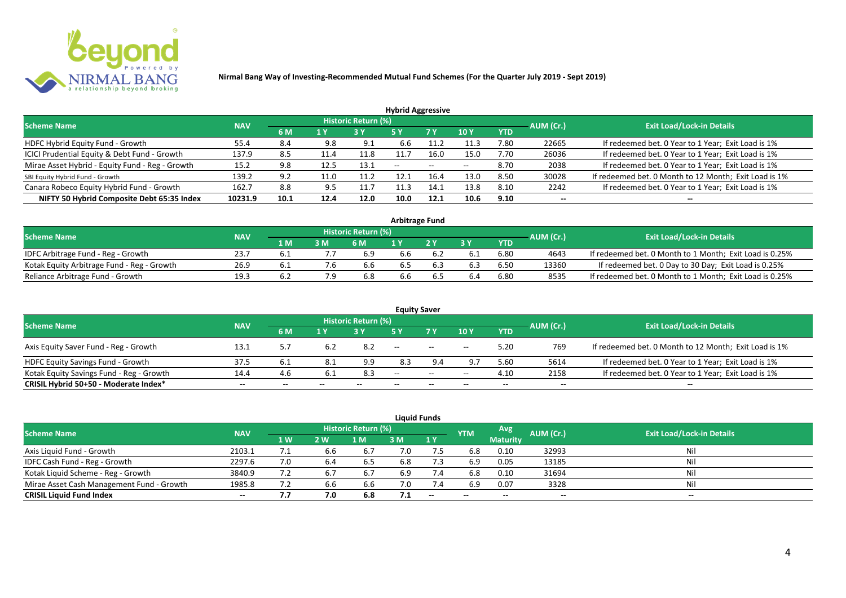

| <b>Hybrid Aggressive</b>                        |            |      |                         |                            |               |                          |       |            |           |                                                       |  |  |  |
|-------------------------------------------------|------------|------|-------------------------|----------------------------|---------------|--------------------------|-------|------------|-----------|-------------------------------------------------------|--|--|--|
| <b>Scheme Name</b>                              | <b>NAV</b> |      |                         | <b>Historic Return (%)</b> |               |                          |       |            | AUM (Cr.) | <b>Exit Load/Lock-in Details</b>                      |  |  |  |
|                                                 |            | 6 M  | $\mathbf{1} \mathbf{V}$ |                            | <b>5 Y</b>    | 7 Y                      | 10Y   | <b>YTD</b> |           |                                                       |  |  |  |
| HDFC Hybrid Equity Fund - Growth                | 55.4       | 8.4  | 9.8                     | 9.1                        | 6.6           |                          | 11.3  | 7.80       | 22665     | If redeemed bet. 0 Year to 1 Year; Exit Load is 1%    |  |  |  |
| ICICI Prudential Equity & Debt Fund - Growth    | 137.9      | 8.5  |                         | 11.8                       | 11.7          | 16.0                     | 15.0  | 7.70       | 26036     | If redeemed bet. 0 Year to 1 Year; Exit Load is 1%    |  |  |  |
| Mirae Asset Hybrid - Equity Fund - Reg - Growth | 15.2       | 9.8  | 12.5                    | 13.1                       | $\sim$ $\sim$ | $\overline{\phantom{a}}$ | $- -$ | 8.70       | 2038      | If redeemed bet. 0 Year to 1 Year; Exit Load is 1%    |  |  |  |
| SBI Equity Hybrid Fund - Growth                 | 139.2      | 9.2  | 11.0                    | 11.2                       | 12.1          | 16.4                     | 13.0  | 8.50       | 30028     | If redeemed bet. 0 Month to 12 Month; Exit Load is 1% |  |  |  |
| Canara Robeco Equity Hybrid Fund - Growth       | 162.7      | 8.8  | 9.5                     | 11.7                       | 11.3          | 14.1                     | 13.8  | 8.10       | 2242      | If redeemed bet. 0 Year to 1 Year; Exit Load is 1%    |  |  |  |
| NIFTY 50 Hybrid Composite Debt 65:35 Index      | 10231.9    | 10.1 | 12.4                    | 12.0                       | 10.0          | 12.1                     | 10.6  | 9.10       | $- -$     | $- -$                                                 |  |  |  |

| <b>Arbitrage Fund</b>                      |            |       |     |                            |     |  |     |      |           |                                                         |  |  |  |
|--------------------------------------------|------------|-------|-----|----------------------------|-----|--|-----|------|-----------|---------------------------------------------------------|--|--|--|
| <b>Scheme Name</b>                         | <b>NAV</b> |       |     | <b>Historic Return (%)</b> |     |  |     |      | AUM (Cr.) | <b>Exit Load/Lock-in Details</b>                        |  |  |  |
|                                            |            | 1 M   | 3 M | 6 M                        |     |  | 2 V | YTD  |           |                                                         |  |  |  |
| IDFC Arbitrage Fund - Reg - Growth         | 23.7       |       |     | 6.9                        | 6.6 |  |     | 6.80 | 4643      | If redeemed bet. 0 Month to 1 Month; Exit Load is 0.25% |  |  |  |
| Kotak Equity Arbitrage Fund - Reg - Growth | 26.9       | − 6.⊥ |     | 6.6                        | 6.5 |  |     | 6.50 | 13360     | If redeemed bet. 0 Day to 30 Day; Exit Load is 0.25%    |  |  |  |
| Reliance Arbitrage Fund - Growth           | 19.3       | 6.2   |     | 6.8                        | 6.6 |  |     | 6.80 | 8535      | If redeemed bet. 0 Month to 1 Month; Exit Load is 0.25% |  |  |  |

|                                          |            |       |     |                     |       | <b>Equity Saver</b>                                 |       |            |           |                                                       |
|------------------------------------------|------------|-------|-----|---------------------|-------|-----------------------------------------------------|-------|------------|-----------|-------------------------------------------------------|
| <b>Scheme Name</b>                       | <b>NAV</b> |       |     | Historic Return (%) |       |                                                     |       |            |           | <b>Exit Load/Lock-in Details</b>                      |
|                                          |            | 6 M   | 1 Y |                     |       | 7 <sub>V</sub>                                      | 10Y   | <b>YTD</b> | AUM (Cr.) |                                                       |
| Axis Equity Saver Fund - Reg - Growth    | 13.1       | 5.7   |     | 8.2                 | $- -$ | $\hspace{0.1mm}-\hspace{0.1mm}-\hspace{0.1mm}$      | $- -$ | 5.20       | 769       | If redeemed bet. 0 Month to 12 Month; Exit Load is 1% |
| HDFC Equity Savings Fund - Growth        | 37.5       | 6.1   |     | 9.9                 | 8.3   | 9.4                                                 | $Q -$ | 5.60       | 5614      | If redeemed bet. 0 Year to 1 Year; Exit Load is 1%    |
| Kotak Equity Savings Fund - Reg - Growth | 14.4       | 4.6   |     | 8.3                 | $-$   | $\hspace{0.05cm} -\hspace{0.05cm} -\hspace{0.05cm}$ | $- -$ | 4.10       | 2158      | If redeemed bet. 0 Year to 1 Year; Exit Load is 1%    |
| CRISIL Hybrid 50+50 - Moderate Index*    | $- -$      | $- -$ |     | --                  | --    | $- -$                                               |       | --         | --        | $- -$                                                 |

|                                           |            |           |     |                            |     | <b>Liquid Funds</b> |            |                 |           |                           |
|-------------------------------------------|------------|-----------|-----|----------------------------|-----|---------------------|------------|-----------------|-----------|---------------------------|
| <b>Scheme Name</b>                        | <b>NAV</b> |           |     | <b>Historic Return (%)</b> |     |                     | <b>YTM</b> | Avg             | AUM (Cr.) | Exit Load/Lock-in Details |
|                                           |            | 1W        | 2 W | 1 M                        | 3 M | 1Y                  |            | <b>Maturity</b> |           |                           |
| Axis Liquid Fund - Growth                 | 2103.1     |           | 6.6 | 6.7                        | 7.0 |                     | 6.8        | 0.10            | 32993     | Nil                       |
| IDFC Cash Fund - Reg - Growth             | 2297.6     |           | 6.4 | 6.5                        | 6.8 | 7.3                 | 6.9        | 0.05            | 13185     | Nil                       |
| Kotak Liquid Scheme - Reg - Growth        | 3840.9     |           | 6.7 | 6.7                        | 6.9 | 7.4                 | 6.8        | 0.10            | 31694     | Nil                       |
| Mirae Asset Cash Management Fund - Growth | 1985.8     | 7)<br>ے ، | 6.6 | 6.6                        | 7.0 | 7.4                 | 6.9        | 0.07            | 3328      | Nil                       |
| <b>CRISIL Liquid Fund Index</b>           | $- -$      | , , ,     | 7.0 | 6.8                        | 7.1 | $-$                 | $- -$      |                 | $- -$     | $- -$                     |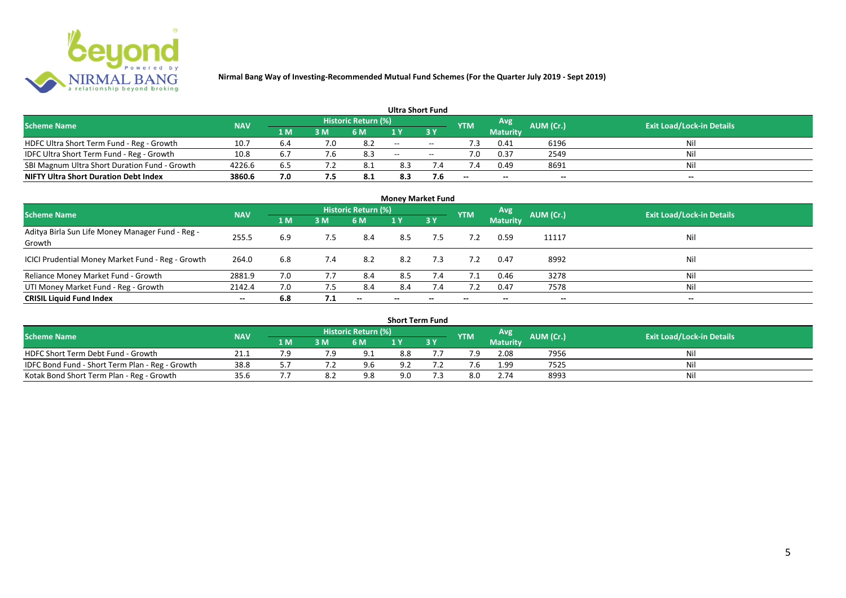

|                                               |            |     |     |                            | <b>Ultra Short Fund</b> |        |            |                 |           |                                  |
|-----------------------------------------------|------------|-----|-----|----------------------------|-------------------------|--------|------------|-----------------|-----------|----------------------------------|
| <b>Scheme Name</b>                            | <b>NAV</b> |     |     | <b>Historic Return (%)</b> |                         |        | <b>YTM</b> | Avg             | AUM (Cr.) | <b>Exit Load/Lock-in Details</b> |
|                                               |            | 1 M | 3 M | 6 M                        | 1 V                     |        |            | <b>Maturity</b> |           |                                  |
| HDFC Ultra Short Term Fund - Reg - Growth     | 10.7       | b.4 | 7.0 |                            | $\sim$                  | $\sim$ | .3         | 0.41            | 6196      | Nil                              |
| IDFC Ultra Short Term Fund - Reg - Growth     | 10.8       | b.  |     | 8.3                        | $\sim$                  | $- -$  |            | 0.37            | 2549      | Nil                              |
| SBI Magnum Ultra Short Duration Fund - Growth | 4226.6     | 6.5 |     | - 8.1                      | 8.3                     |        |            | 0.49            | 8691      | Nil                              |
| <b>NIFTY Ultra Short Duration Debt Index</b>  | 3860.6     | 7.0 |     | 8.1                        | 8.3                     | 7.6    | --         | $- -$           | $- -$     | $- -$                            |

| <b>Money Market Fund</b>                                   |            |     |     |                     |       |                          |            |                 |                          |                                  |  |  |  |  |
|------------------------------------------------------------|------------|-----|-----|---------------------|-------|--------------------------|------------|-----------------|--------------------------|----------------------------------|--|--|--|--|
| <b>Scheme Name</b>                                         | <b>NAV</b> |     |     | Historic Return (%) |       |                          | <b>YTM</b> | Avg             | AUM (Cr.)                | <b>Exit Load/Lock-in Details</b> |  |  |  |  |
|                                                            |            | 1 M | 3M  | 6 M                 | 1Y    | 3Y                       |            | <b>Maturity</b> |                          |                                  |  |  |  |  |
| Aditya Birla Sun Life Money Manager Fund - Reg -<br>Growth | 255.5      | 6.9 | 7.5 | 8.4                 | 8.5   | 7.5                      |            | 0.59            | 11117                    | Nil                              |  |  |  |  |
| ICICI Prudential Money Market Fund - Reg - Growth          | 264.0      | 6.8 | 7.4 | 8.2                 | 8.2   | 7.3                      |            | 0.47            | 8992                     | Nil                              |  |  |  |  |
| Reliance Money Market Fund - Growth                        | 2881.9     | 7.0 |     | 8.4                 | 8.5   | 7.4                      | 7.1        | 0.46            | 3278                     | Nil                              |  |  |  |  |
| UTI Money Market Fund - Reg - Growth                       | 2142.4     | 7.0 | 7.5 | 8.4                 | 8.4   | 7.4                      | 7.2        | 0.47            | 7578                     | Nil                              |  |  |  |  |
| <b>CRISIL Liquid Fund Index</b>                            | $- -$      | 6.8 | 7.1 | $- -$               | $- -$ | $\overline{\phantom{a}}$ | $- -$      | --              | $\overline{\phantom{a}}$ | $- -$                            |  |  |  |  |

| <b>Short Term Fund</b>                          |            |     |    |                            |     |      |            |                 |           |                                  |  |  |  |  |
|-------------------------------------------------|------------|-----|----|----------------------------|-----|------|------------|-----------------|-----------|----------------------------------|--|--|--|--|
| <b>Scheme Name</b>                              | <b>NAV</b> |     |    | <b>Historic Return (%)</b> |     |      | <b>YTM</b> | Avg             | AUM (Cr.) | <b>Exit Load/Lock-in Details</b> |  |  |  |  |
|                                                 |            | 1 M | 3M | 6 M                        |     | 13 Y |            | <b>Maturity</b> |           |                                  |  |  |  |  |
| HDFC Short Term Debt Fund - Growth              | 21.1       |     |    | 9.1                        | 8.8 |      | 7.9        | 2.08            | 7956      | Nil                              |  |  |  |  |
| IDFC Bond Fund - Short Term Plan - Reg - Growth | 38.8       |     |    | 9.6                        | 9.2 |      |            | 1.99            | 7525      | Nil                              |  |  |  |  |
| Kotak Bond Short Term Plan - Reg - Growth       | 35.6       |     |    | 9.8                        | 9.0 |      | 8.0        | 2.74            | 8993      | Nil                              |  |  |  |  |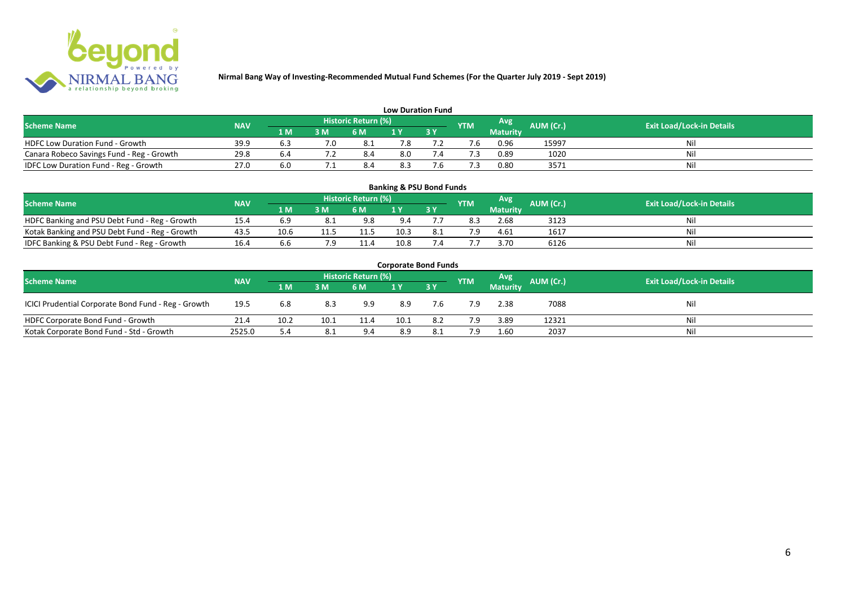

| <b>Low Duration Fund</b>                  |            |     |     |                            |     |  |            |                 |                  |                                  |  |  |  |  |
|-------------------------------------------|------------|-----|-----|----------------------------|-----|--|------------|-----------------|------------------|----------------------------------|--|--|--|--|
| <b>Scheme Name</b>                        | <b>NAV</b> |     |     | <b>Historic Return (%)</b> |     |  | <b>YTM</b> | Avg             | <b>AUM (Cr.)</b> | <b>Exit Load/Lock-in Details</b> |  |  |  |  |
|                                           |            | 1 M | 3 M | 6 M                        | 1 Y |  |            | <b>Maturity</b> |                  |                                  |  |  |  |  |
| <b>HDFC Low Duration Fund - Growth</b>    | 39.9       |     |     |                            | 7.8 |  |            | 0.96            | 15997            | Nil                              |  |  |  |  |
| Canara Robeco Savings Fund - Reg - Growth | 29.8       | b., |     | 8.4                        | 8.0 |  |            | 0.89            | 1020             | Nil                              |  |  |  |  |
| IDFC Low Duration Fund - Reg - Growth     | 27.0       | 6.0 |     | 8.4                        | 8.3 |  |            | 0.80            | 3571             | Nil                              |  |  |  |  |

| <b>Banking &amp; PSU Bond Funds</b>            |            |      |            |      |           |                                  |     |                 |      |    |  |  |  |  |
|------------------------------------------------|------------|------|------------|------|-----------|----------------------------------|-----|-----------------|------|----|--|--|--|--|
| <b>Scheme Name</b>                             | <b>NAV</b> |      | <b>YTM</b> | Avg  | AUM (Cr.) | <b>Exit Load/Lock-in Details</b> |     |                 |      |    |  |  |  |  |
|                                                |            | 1 M  | 3 M        | 6 M  |           | 73 Y                             |     | <b>Maturity</b> |      |    |  |  |  |  |
| HDFC Banking and PSU Debt Fund - Reg - Growth  | 15.4       |      |            | 9.8  | 9.4       |                                  | 8.3 | 2.68            | 3123 | Ni |  |  |  |  |
| Kotak Banking and PSU Debt Fund - Reg - Growth | 43.5       | 10.6 | 11.5       | 11.5 | 10.3      | 8.1                              | 7.9 | 4.61            | 1617 | Ni |  |  |  |  |
| IDFC Banking & PSU Debt Fund - Reg - Growth    | 16.4       | b.b  |            | 11.4 | 10.8      |                                  |     | 3.70            | 6126 | Ni |  |  |  |  |

| <b>Corporate Bond Funds</b>                                                                                                   |        |      |      |      |      |       |     |                 |       |     |  |  |  |  |
|-------------------------------------------------------------------------------------------------------------------------------|--------|------|------|------|------|-------|-----|-----------------|-------|-----|--|--|--|--|
| Historic Return (%)<br>Avg<br>AUM (Cr.)<br><b>Exit Load/Lock-in Details</b><br><b>Scheme Name</b><br><b>NAV</b><br><b>YTM</b> |        |      |      |      |      |       |     |                 |       |     |  |  |  |  |
|                                                                                                                               |        | 1 M  | 3 M  | 6 M  |      | 7 3 Y |     | <b>Maturity</b> |       |     |  |  |  |  |
| ICICI Prudential Corporate Bond Fund - Reg - Growth                                                                           | 19.5   | 6.8  | 8.3  | 9.9  | 8.9  | 7.6   | 7.9 | 2.38            | 7088  | Nil |  |  |  |  |
| HDFC Corporate Bond Fund - Growth                                                                                             | 21.4   | 10.2 | 10.1 | 11.4 | 10.1 | 8.2   | 7.9 | 3.89            | 12321 | Nil |  |  |  |  |
| Kotak Corporate Bond Fund - Std - Growth                                                                                      | 2525.0 | 5.4  | 8.1  | 9.4  | 8.9  | -8.1  | 7.9 | 1.60            | 2037  | Nil |  |  |  |  |